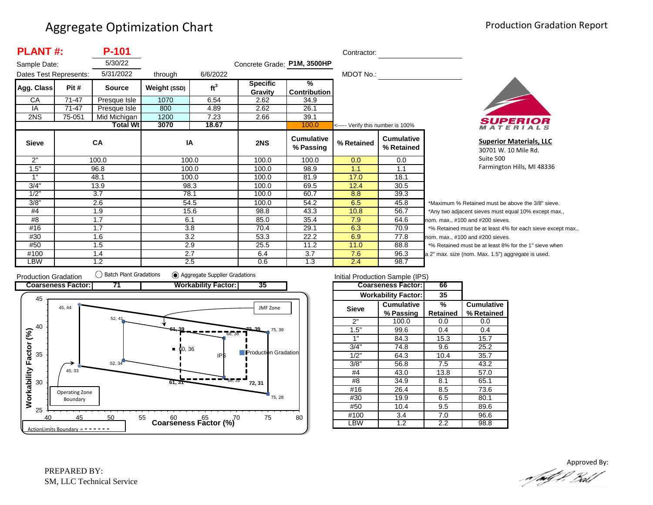| <b>PLANT#:</b>         |           | <b>P-101</b>    |              |                 |                             |                                | Contractor:                       |                                 |         |
|------------------------|-----------|-----------------|--------------|-----------------|-----------------------------|--------------------------------|-----------------------------------|---------------------------------|---------|
| Sample Date:           |           | 5/30/22         |              |                 | Concrete Grade: P1M, 3500HP |                                |                                   |                                 |         |
| Dates Test Represents: |           | 5/31/2022       | through      | 6/6/2022        |                             |                                | MDOT No.:                         |                                 |         |
| Agg. Class             | Pit #     | <b>Source</b>   | Weight (SSD) | ft <sup>3</sup> | <b>Specific</b>             | $\frac{9}{6}$                  |                                   |                                 |         |
|                        |           |                 |              |                 | Gravity                     | <b>Contribution</b>            |                                   |                                 |         |
| СA                     | 71-47     | Presque Isle    | 1070         | 6.54            | 2.62                        | 34.9                           |                                   |                                 |         |
| IA                     | $71 - 47$ | Presque Isle    | 800          | 4.89            | 2.62                        | 26.1                           |                                   |                                 |         |
| 2NS                    | 75-051    | Mid Michigan    | 1200         | 7.23            | 2.66                        | 39.1                           |                                   |                                 |         |
|                        |           | <b>Total Wt</b> | 3070         | 18.67           |                             | 100.0                          | <----- Verify this number is 100% |                                 |         |
| <b>Sieve</b>           |           | CA              | IA           |                 | 2NS                         | <b>Cumulative</b><br>% Passing | % Retained                        | <b>Cumulative</b><br>% Retained |         |
| 2"                     |           | 100.0           |              | 100.0           | 100.0                       | 100.0                          | 0.0                               | 0.0                             |         |
| 1.5"                   |           | 96.8            |              | 100.0           | 100.0                       | 98.9                           | 1.1                               | 1.1                             |         |
| 1"                     |           | 48.1            |              | 100.0           | 100.0                       | 81.9                           | 17.0                              | 18.1                            |         |
| 3/4"                   |           | 13.9            |              | 98.3            | 100.0                       | 69.5                           | 12.4                              | 30.5                            |         |
| 1/2"                   |           | 3.7             |              | 78.1            | 100.0                       | 60.7                           | 8.8                               | 39.3                            |         |
| 3/8"                   |           | 2.6             |              | 54.5            | 100.0                       | 54.2                           | 6.5                               | 45.8                            | $\star$ |
| #4                     |           | 1.9             |              | 15.6            | 98.8                        | 43.3                           | 10.8                              | 56.7                            | $\star$ |
| #8                     |           | 1.7             | 6.1          |                 | 85.0                        | 35.4                           | 7.9                               | 64.6                            | no      |
| #16                    |           | 1.7             |              | 3.8             | 70.4                        | 29.1                           | 6.3                               | 70.9                            | $\star$ |
| #30                    |           | 1.6             |              | 3.2             | 53.3                        | 22.2                           | 6.9                               | 77.8                            | no      |
| #50                    |           | 1.5             |              | 2.9             | 25.5                        | 11.2                           | 11.0                              | 88.8                            | $\star$ |
| #100                   |           | 1.4             |              | 2.7             | 6.4                         | 3.7                            | 7.6                               | 96.3                            | a 2     |
| <b>LBW</b>             |           | 1.2             |              | 2.5             | 0.6                         | 1.3                            | 2.4                               | 98.7                            |         |



**Superior Materials, LLC** 30701 W. 10 Mile Rd. Suite 500 Farmington Hills, MI 48336

Maximum % Retained must be above the 3/8" sieve. Any two adjacent sieves must equal 10% except max.,  $em.$  max.,  $#100$  and  $#200$  sieves. % Retained must be at least 4% for each sieve except max.,  $km.$  max.,  $#100$  and  $#200$  sieves. % Retained must be at least 8% for the 1" sieve when 2" max. size (nom. Max. 1.5") aggregate is used.



|            | Initial Production Sample (IPS) |          |                   |
|------------|---------------------------------|----------|-------------------|
|            | <b>Coarseness Factor:</b>       | 66       |                   |
|            | <b>Workability Factor:</b>      | 35       |                   |
| Sieve      | <b>Cumulative</b>               | %        | <b>Cumulative</b> |
|            | % Passing                       | Retained | % Retained        |
| 2"         | 100.0                           | 0.0      | 0.0               |
| 1.5"       | 99.6                            | 0.4      | 0.4               |
| 1"         | 84.3                            | 15.3     | 15.7              |
| 3/4        | 74.8                            | 9.6      | 25.2              |
| 1/2"       | 64.3                            | 10.4     | 35.7              |
| 3/8"       | 56.8                            | 7.5      | 43.2              |
| #4         | 43.0                            | 13.8     | 57.0              |
| #8         | 34.9                            | 8.1      | 65.1              |
| #16        | 26.4                            | 8.5      | 73.6              |
| #30        | 19.9                            | 6.5      | 80.1              |
| #50        | 10.4                            | 9.5      | 89.6              |
| #100       | 3.4                             | 7.0      | 96.6              |
| <b>LBW</b> | $\overline{1.2}$                | 2.2      | 98.8              |

Approved By:a fødf f. Bolf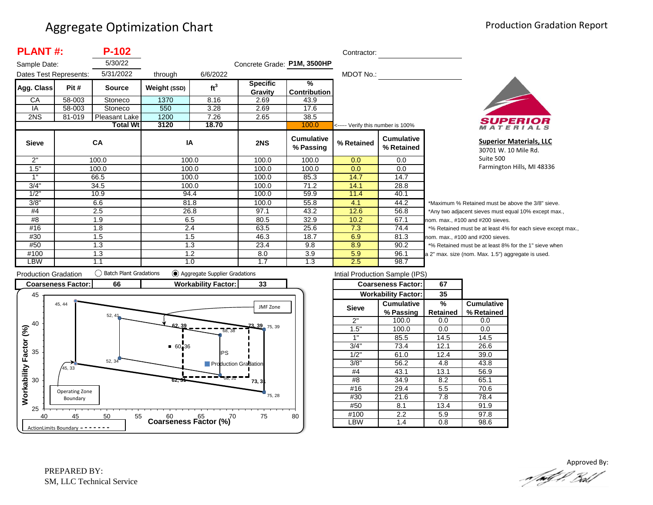| <b>PLANT#:</b>         |        | P-102           |              |                 |                             |                                      | Contractor:                       |                                 |              |
|------------------------|--------|-----------------|--------------|-----------------|-----------------------------|--------------------------------------|-----------------------------------|---------------------------------|--------------|
| Sample Date:           |        | 5/30/22         |              |                 | Concrete Grade: P1M, 3500HP |                                      |                                   |                                 |              |
| Dates Test Represents: |        | 5/31/2022       | through      | 6/6/2022        |                             |                                      | MDOT No.:                         |                                 |              |
| Agg. Class             | Pit #  | <b>Source</b>   | Weight (SSD) | ft <sup>3</sup> | <b>Specific</b><br>Gravity  | $\frac{9}{6}$<br><b>Contribution</b> |                                   |                                 |              |
| CA                     | 58-003 | Stoneco         | 1370         | 8.16            | 2.69                        | 43.9                                 |                                   |                                 |              |
| IA                     | 58-003 | Stoneco         | 550          | 3.28            | 2.69                        | 17.6                                 |                                   |                                 |              |
| 2NS                    | 81-019 | Pleasant Lake   | 1200         | 7.26            | 2.65                        | 38.5                                 |                                   |                                 |              |
|                        |        | <b>Total Wt</b> | 3120         | 18.70           |                             | 100.0                                | <----- Verify this number is 100% |                                 |              |
| <b>Sieve</b>           |        | <b>CA</b>       | ΙA           |                 | 2NS                         | <b>Cumulative</b><br>% Passing       | % Retained                        | <b>Cumulative</b><br>% Retained |              |
| 2"                     |        | 100.0           |              | 100.0           | 100.0                       | 100.0                                | 0.0                               | 0.0                             |              |
| 1.5"                   |        | 100.0           |              | 100.0           | 100.0                       | 100.0                                | 0.0                               | 0.0                             |              |
| 1"                     |        | 66.5            |              | 100.0           | 100.0                       | 85.3                                 | 14.7                              | 14.7                            |              |
| 3/4"                   |        | 34.5            |              | 100.0           | 100.0                       | 71.2                                 | 14.1                              | 28.8                            |              |
| 1/2"                   |        | 10.9            | 94.4         |                 | 100.0                       | 59.9                                 | 11.4                              | 40.1                            |              |
| 3/8"                   |        | 6.6             | 81.8         |                 | 100.0                       | 55.8                                 | 4.1                               | 44.2                            |              |
| #4                     |        | 2.5             | 26.8         |                 | 97.1                        | 43.2                                 | 12.6                              | 56.8                            |              |
| #8                     |        | 1.9             |              | 6.5             | 80.5                        | 32.9                                 | 10.2                              | 67.1                            | <sub>n</sub> |
| #16                    |        | 1.8             |              | 2.4             | 63.5                        | 25.6                                 | 7.3                               | 74.4                            |              |
| #30                    |        | 1.5             |              | 1.5             | 46.3                        | 18.7                                 | 6.9                               | 81.3                            | n            |
| #50                    |        | 1.3             |              | 1.3             | 23.4                        | 9.8                                  | 8.9                               | 90.2                            |              |
| #100                   |        | 1.3             |              | 1.2             | 8.0                         | 3.9                                  | 5.9                               | 96.1                            | la           |
| LBW                    |        | 1.1             |              | 1.0             | 1.7                         | 1.3                                  | 2.5                               | 98.7                            |              |



**Superior Materials, LLC** 30701 W. 10 Mile Rd. Suite 500 Farmington Hills, MI 48336

\*Maximum % Retained must be above the 3/8" sieve. \*Any two adjacent sieves must equal 10% except max., om. max., #100 and #200 sieves. \*% Retained must be at least 4% for each sieve except max.,  $om.$  max.,  $#100$  and  $#200$  sieves. % Retained must be at least 8% for the 1" sieve when 2" max. size (nom. Max. 1.5") aggregate is used.



| Intial Production Sample (IPS) |                            |          |                   |  |  |  |  |  |
|--------------------------------|----------------------------|----------|-------------------|--|--|--|--|--|
|                                | <b>Coarseness Factor:</b>  | 67       |                   |  |  |  |  |  |
|                                | <b>Workability Factor:</b> | 35       |                   |  |  |  |  |  |
| <b>Sieve</b>                   | <b>Cumulative</b>          | %        | <b>Cumulative</b> |  |  |  |  |  |
|                                | % Passing                  | Retained | % Retained        |  |  |  |  |  |
| 2"                             | 100.0                      | 0.0      | 0.0               |  |  |  |  |  |
| 1.5"                           | 100.0                      | 0.0      | 0.0               |  |  |  |  |  |
| 1"                             | 85.5                       | 14.5     | 14.5              |  |  |  |  |  |
| 3/4"                           | 73.4                       | 12.1     | 26.6              |  |  |  |  |  |
| 1/2"                           | 61.0                       | 12.4     | 39.0              |  |  |  |  |  |
| $3/8$ <sup>"</sup>             | 56.2                       | 4.8      | 43.8              |  |  |  |  |  |
| #4                             | 43.1                       | 13.1     | 56.9              |  |  |  |  |  |
| #8                             | 34.9                       | 8.2      | 65.1              |  |  |  |  |  |
| #16                            | 29.4                       | 5.5      | 70.6              |  |  |  |  |  |
| #30                            | 21.6                       | 7.8      | 78.4              |  |  |  |  |  |
| #50                            | 8.1                        | 13.4     | 91.9              |  |  |  |  |  |
| #100                           | 2.2                        | 5.9      | 97.8              |  |  |  |  |  |
| .BW                            | 1.4                        | 0.8      | 98.6              |  |  |  |  |  |

Approved By:<br>Approved By: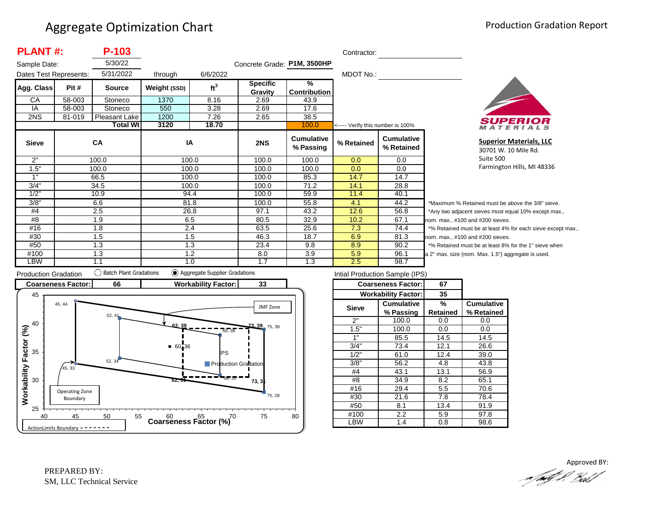| <b>PLANT#:</b>         |        | P-103           |              |                 |                             |                                      | Contractor:                       |                          |
|------------------------|--------|-----------------|--------------|-----------------|-----------------------------|--------------------------------------|-----------------------------------|--------------------------|
| Sample Date:           |        | 5/30/22         |              |                 | Concrete Grade: P1M, 3500HP |                                      |                                   |                          |
| Dates Test Represents: |        | 5/31/2022       | through      | 6/6/2022        |                             |                                      | MDOT No.:                         |                          |
| Agg. Class             | Pit #  | <b>Source</b>   | Weight (SSD) | ft <sup>3</sup> | <b>Specific</b><br>Gravity  | $\frac{9}{6}$<br><b>Contribution</b> |                                   |                          |
| CA                     | 58-003 | Stoneco         | 1370         | 8.16            | 2.69                        | 43.9                                 |                                   |                          |
| IA                     | 58-003 | Stoneco         | 550          | 3.28            | 2.69                        | 17.6                                 |                                   |                          |
| 2NS                    | 81-019 | Pleasant Lake   | 1200         | 7.26            | 2.65                        | 38.5                                 |                                   |                          |
|                        |        | <b>Total Wt</b> | 3120         | 18.70           |                             | 100.0                                | <----- Verify this number is 100% |                          |
| <b>Sieve</b>           |        | <b>CA</b>       | IA           |                 | 2NS                         | <b>Cumulative</b><br>% Passing       | % Retained                        | Cumulative<br>% Retained |
| 2"                     |        | 100.0           | 100.0        |                 | 100.0                       | 100.0                                | 0.0                               | 0.0                      |
| 1.5"                   |        | 100.0           | 100.0        |                 | 100.0                       | 100.0                                | 0.0                               | 0.0                      |
| 1"                     |        | 66.5            | 100.0        |                 | 100.0                       | 85.3                                 | 14.7                              | 14.7                     |
| 3/4"                   |        | 34.5            | 100.0        |                 | 100.0                       | 71.2                                 | 14.1                              | 28.8                     |
| 1/2"                   |        | 10.9            | 94.4         |                 | 100.0                       | 59.9                                 | 11.4                              | 40.1                     |
| 3/8"                   |        | 6.6             | 81.8         |                 | 100.0                       | 55.8                                 | 4.1                               | 44.2                     |
| #4                     |        | 2.5             | 26.8         |                 | 97.1                        | 43.2                                 | 12.6                              | 56.8                     |
| #8                     |        | 1.9             | 6.5          |                 | 80.5                        | 32.9                                 | 10.2                              | 67.1                     |
| #16                    |        | 1.8             | 2.4          |                 | 63.5                        | 25.6                                 | 7.3                               | 74.4                     |
| #30                    |        | 1.5             | 1.5          |                 | 46.3                        | 18.7                                 | 6.9                               | 81.3                     |
| #50                    |        | 1.3             | 1.3          |                 | 23.4                        | 9.8                                  | 8.9                               | 90.2                     |
| #100                   |        | 1.3             | 1.2          |                 | 8.0                         | 3.9                                  | 5.9                               | 96.1                     |
| LBW                    |        | 1.1             | 1.0          |                 | 1.7                         | 1.3                                  | 2.5                               | 98.7                     |



**Superior Materials, LLC** 30701 W. 10 Mile Rd. Suite 500 Farmington Hills, MI 48336

\*Maximum % Retained must be above the 3/8" sieve. \*Any two adjacent sieves must equal 10% except max., om. max., #100 and #200 sieves. \*% Retained must be at least 4% for each sieve except max.,  $om.$  max.,  $#100$  and  $#200$  sieves. % Retained must be at least 8% for the 1" sieve when 2" max. size (nom. Max. 1.5") aggregate is used.



| Intial Production Sample (IPS) |                            |          |                   |  |  |  |  |  |
|--------------------------------|----------------------------|----------|-------------------|--|--|--|--|--|
|                                | <b>Coarseness Factor:</b>  | 67       |                   |  |  |  |  |  |
|                                | <b>Workability Factor:</b> | 35       |                   |  |  |  |  |  |
| <b>Sieve</b>                   | <b>Cumulative</b>          | %        | <b>Cumulative</b> |  |  |  |  |  |
|                                | % Passing                  | Retained | % Retained        |  |  |  |  |  |
| 2"                             | 100.0                      | 0.0      | 0.0               |  |  |  |  |  |
| 1.5"                           | 100.0                      | 0.0      | 0.0               |  |  |  |  |  |
| 1"                             | 85.5                       | 14.5     | 14.5              |  |  |  |  |  |
| 3/4"                           | 73.4                       | 12.1     | 26.6              |  |  |  |  |  |
| 1/2"                           | 61.0                       | 12.4     | 39.0              |  |  |  |  |  |
| 3/8"                           | 56.2                       | 4.8      | 43.8              |  |  |  |  |  |
| #4                             | 43.1                       | 13.1     | 56.9              |  |  |  |  |  |
| #8                             | 34.9                       | 8.2      | 65.1              |  |  |  |  |  |
| #16                            | 29.4                       | 5.5      | 70.6              |  |  |  |  |  |
| #30                            | 21.6                       | 7.8      | 78.4              |  |  |  |  |  |
| #50                            | 8.1                        | 13.4     | 91.9              |  |  |  |  |  |
| #100                           | 2.2                        | 5.9      | 97.8              |  |  |  |  |  |
| -BW                            | 1.4                        | 0.8      | 98.6              |  |  |  |  |  |

Approved BY:a fødf f. Bolf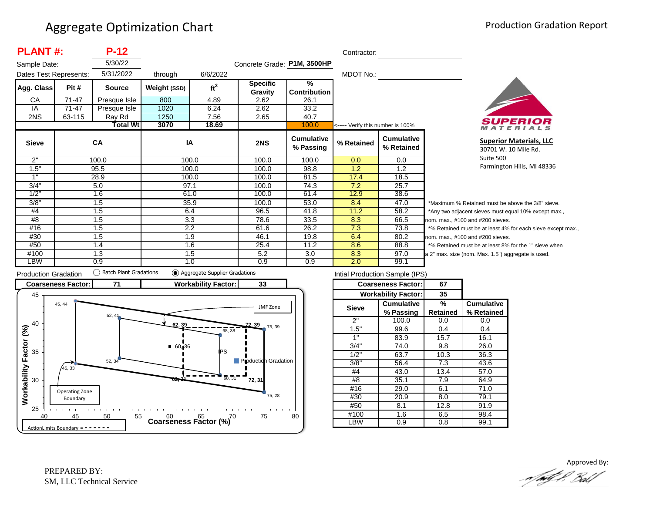| <b>PLANT#:</b><br>$P-12$<br>Contractor: |        |                                  |              |                 |                             |                                      |                                   |                                 |                |  |
|-----------------------------------------|--------|----------------------------------|--------------|-----------------|-----------------------------|--------------------------------------|-----------------------------------|---------------------------------|----------------|--|
| Sample Date:                            |        | 5/30/22                          |              |                 | Concrete Grade: P1M, 3500HP |                                      |                                   |                                 |                |  |
| Dates Test Represents:                  |        | 5/31/2022<br>6/6/2022<br>through |              |                 |                             |                                      | MDOT No.:                         |                                 |                |  |
| Agg. Class                              | Pit #  | <b>Source</b>                    | Weight (SSD) | ft <sup>3</sup> | <b>Specific</b><br>Gravity  | $\frac{9}{6}$<br><b>Contribution</b> |                                   |                                 |                |  |
| СA                                      | 71-47  | Presque Isle                     | 800          | 4.89            | 2.62                        | 26.1                                 |                                   |                                 |                |  |
| IA                                      | 71-47  | Presque Isle                     | 1020         | 6.24            | 2.62                        | 33.2                                 |                                   |                                 |                |  |
| 2NS                                     | 63-115 | Ray Rd                           | 1250         | 7.56            | 2.65                        | 40.7                                 |                                   |                                 |                |  |
|                                         |        | <b>Total Wt</b>                  | 3070         | 18.69           |                             | 100.0                                | <----- Verify this number is 100% |                                 |                |  |
| <b>Sieve</b>                            |        | CA                               | IA           |                 | 2NS                         | <b>Cumulative</b><br>% Passing       | % Retained                        | <b>Cumulative</b><br>% Retained |                |  |
| 2"                                      |        | 100.0                            | 100.0        |                 | 100.0                       | 100.0                                | 0.0                               | 0.0                             |                |  |
| 1.5"                                    |        | 95.5                             | 100.0        |                 | 100.0                       | 98.8                                 | 1.2                               | 1.2                             |                |  |
| 1"                                      |        | 28.9                             | 100.0        |                 | 100.0                       | 81.5                                 | 17.4                              | 18.5                            |                |  |
| 3/4"                                    |        | 5.0                              | 97.1         |                 | 100.0                       | 74.3                                 | 7.2                               | 25.7                            |                |  |
| 1/2"                                    |        | 1.6                              | 61.0         |                 | 100.0                       | 61.4                                 | 12.9                              | 38.6                            |                |  |
| 3/8"                                    |        | 1.5                              | 35.9         |                 | 100.0                       | 53.0                                 | 8.4                               | 47.0                            | *Μ             |  |
| #4                                      |        | 1.5                              | 6.4          |                 | 96.5                        | 41.8                                 | 11.2                              | 58.2                            | */             |  |
| #8                                      |        | 1.5                              | 3.3          |                 | 78.6                        | 33.5                                 | 8.3                               | 66.5                            | nor            |  |
| #16                                     |        | 1.5                              | 2.2          |                 | 61.6                        | 26.2                                 | 7.3                               | 73.8                            | $*_{0}$        |  |
| #30                                     |        | 1.5                              | 1.9          |                 | 46.1                        | 19.8                                 | 6.4                               | 80.2                            | nor            |  |
| #50                                     |        | 1.4                              | 1.6          |                 | 25.4                        | 11.2                                 | 8.6                               | 88.8                            | $*_{0}$        |  |
| #100                                    |        | 1.3                              | 1.5          |                 | 5.2                         | 3.0                                  | 8.3                               | 97.0                            | a <sub>2</sub> |  |
| LBW                                     |        | 0.9                              | 1.0          |                 | 0.9                         | 0.9                                  | 2.0                               | 99.1                            |                |  |



**Superior Materials, LLC** 30701 W. 10 Mile Rd. Suite 500 Farmington Hills, MI 48336

Maximum % Retained must be above the 3/8" sieve. Any two adjacent sieves must equal 10% except max., m. max., #100 and #200 sieves. % Retained must be at least 4% for each sieve except max., m. max., #100 and #200 sieves. % Retained must be at least 8% for the 1" sieve when <sup>2"</sup> max. size (nom. Max. 1.5") aggregate is used.



| Intial Production Sample (IPS) |                            |                 |                   |  |  |  |  |  |
|--------------------------------|----------------------------|-----------------|-------------------|--|--|--|--|--|
|                                | <b>Coarseness Factor:</b>  | 67              |                   |  |  |  |  |  |
|                                | <b>Workability Factor:</b> | 35              |                   |  |  |  |  |  |
| <b>Sieve</b>                   | <b>Cumulative</b>          | %               | <b>Cumulative</b> |  |  |  |  |  |
|                                | % Passing                  | <b>Retained</b> | % Retained        |  |  |  |  |  |
| 2"                             | 100.0                      | 0.0             | 0.0               |  |  |  |  |  |
| 1.5"                           | 99.6                       | 0.4             | 0.4               |  |  |  |  |  |
| 1"                             | 83.9                       | 15.7            | 16.1              |  |  |  |  |  |
| 3/4"                           | 74.0                       | 9.8             | 26.0              |  |  |  |  |  |
| 1/2"                           | 63.7                       | 10.3            | 36.3              |  |  |  |  |  |
| 3/8"                           | 56.4                       | 7.3             | 43.6              |  |  |  |  |  |
| #4                             | 43.0                       | 13.4            | 57.0              |  |  |  |  |  |
| #8                             | 35.1                       | 7.9             | 64.9              |  |  |  |  |  |
| #16                            | 29.0                       | 6.1             | 71.0              |  |  |  |  |  |
| #30                            | 20.9                       | 8.0             | 79.1              |  |  |  |  |  |
| #50                            | 8.1                        | 12.8            | 91.9              |  |  |  |  |  |
| #100                           | 1.6                        | 6.5             | 98.4              |  |  |  |  |  |
| -BW                            | $\overline{0.9}$           | 0.8             | 99.1              |  |  |  |  |  |

Approved By:<br>Approved By: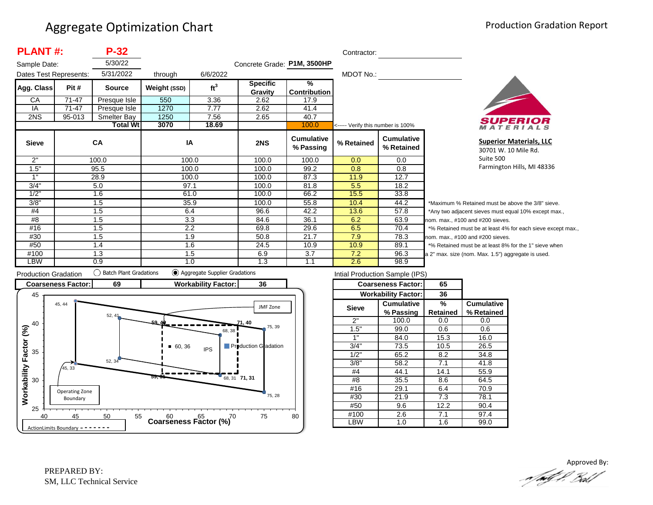| <b>PLANT#:</b><br>$P-32$ |           |                  |              |                 |                             | Contractor:                          |                                   |                                 |          |
|--------------------------|-----------|------------------|--------------|-----------------|-----------------------------|--------------------------------------|-----------------------------------|---------------------------------|----------|
| Sample Date:             |           | 5/30/22          |              |                 | Concrete Grade: P1M, 3500HP |                                      |                                   |                                 |          |
| Dates Test Represents:   |           | 5/31/2022        | through      | 6/6/2022        |                             |                                      | MDOT No.:                         |                                 |          |
| Agg. Class               | Pit #     | <b>Source</b>    | Weight (SSD) | ft <sup>3</sup> | <b>Specific</b><br>Gravity  | $\frac{9}{6}$<br><b>Contribution</b> |                                   |                                 |          |
| CA                       | $71 - 47$ | Presque Isle     | 550          | 3.36            | 2.62                        | 17.9                                 |                                   |                                 |          |
| IA                       | 71-47     | Presque Isle     | 1270         | 7.77            | 2.62                        | 41.4                                 |                                   |                                 |          |
| 2NS                      | 95-013    | Smelter Bay      | 1250         | 7.56            | 2.65                        | 40.7                                 |                                   |                                 |          |
|                          |           | <b>Total Wtl</b> | 3070         | 18.69           |                             | 100.0                                | <----- Verify this number is 100% |                                 |          |
| <b>Sieve</b>             |           | <b>CA</b>        | IA           |                 | 2NS                         | <b>Cumulative</b><br>% Passing       | % Retained                        | <b>Cumulative</b><br>% Retained |          |
| 2"                       |           | 100.0            | 100.0        |                 | 100.0                       | 100.0                                | 0.0                               | 0.0                             |          |
| 1.5"                     |           | 95.5             | 100.0        |                 | 100.0                       | 99.2                                 | 0.8                               | 0.8                             |          |
| 1"                       |           | 28.9             |              | 100.0           | 100.0                       | 87.3                                 | 11.9                              | 12.7                            |          |
| 3/4"                     |           | 5.0              | 97.1         |                 | 100.0                       | 81.8                                 | 5.5                               | 18.2                            |          |
| 1/2"                     |           | 1.6              | 61.0         |                 | 100.0                       | 66.2                                 | 15.5                              | 33.8                            |          |
| 3/8"                     |           | 1.5              | 35.9         |                 | 100.0                       | 55.8                                 | 10.4                              | 44.2                            | $^\star$ |
| #4                       |           | 1.5              | 6.4          |                 | 96.6                        | 42.2                                 | 13.6                              | 57.8                            | $\star$  |
| #8                       |           | 1.5              | 3.3          |                 | 84.6                        | 36.1                                 | 6.2                               | 63.9                            | no       |
| #16                      |           | 1.5              | 2.2          |                 | 69.8                        | 29.6                                 | 6.5                               | 70.4                            | $\star$  |
| #30                      |           | 1.5              | 1.9          |                 | 50.8                        | 21.7                                 | 7.9                               | 78.3                            | no       |
| #50                      |           | 1.4              | 1.6          |                 | 24.5                        | 10.9                                 | 10.9                              | 89.1                            |          |
| #100                     |           | 1.3              | 1.5          |                 | 6.9                         | 3.7                                  | 7.2                               | 96.3                            | la 2     |
| LBW                      |           | 0.9              |              | 1.0             | 1.3                         | 1.1                                  | 2.6                               | 98.9                            |          |



**Superior Materials, LLC** 30701 W. 10 Mile Rd. Suite 500 Farmington Hills, MI 48336

Maximum % Retained must be above the 3/8" sieve. Any two adjacent sieves must equal 10% except max.,  $km.$  max.,  $#100$  and  $#200$  sieves. % Retained must be at least 4% for each sieve except max.,  $km.$  max.,  $#100$  and  $#200$  sieves. % Retained must be at least 8% for the 1" sieve when 2" max. size (nom. Max. 1.5") aggregate is used.



| Intial Production Sample (IPS) |                            |          |                   |  |  |  |  |  |
|--------------------------------|----------------------------|----------|-------------------|--|--|--|--|--|
|                                | <b>Coarseness Factor:</b>  | 65       |                   |  |  |  |  |  |
|                                | <b>Workability Factor:</b> | 36       |                   |  |  |  |  |  |
| <b>Sieve</b>                   | <b>Cumulative</b>          | %        | <b>Cumulative</b> |  |  |  |  |  |
|                                | % Passing                  | Retained | % Retained        |  |  |  |  |  |
| 2"                             | 100.0                      | 0.0      | 0.0               |  |  |  |  |  |
| 1.5"                           | 99.0                       | 0.6      | 0.6               |  |  |  |  |  |
| 1"                             | 84.0                       | 15.3     | 16.0              |  |  |  |  |  |
| 3/4"                           | 73.5                       |          | 26.5              |  |  |  |  |  |
| 1/2"                           | 65.2                       | 8.2      | 34.8              |  |  |  |  |  |
| 3/8"                           | 58.2                       | 7.1      | 41.8              |  |  |  |  |  |
| #4                             | 44.1                       | 14.1     | 55.9              |  |  |  |  |  |
| #8                             | 35.5                       | 8.6      | 64.5              |  |  |  |  |  |
| #16                            | 29.1                       | 6.4      | 70.9              |  |  |  |  |  |
| #30                            | 21.9                       | 7.3      | 78.1              |  |  |  |  |  |
| #50                            | 9.6                        | 12.2     | 90.4              |  |  |  |  |  |
| #100                           | 2.6                        | 7.1      | 97.4              |  |  |  |  |  |
| LBW                            | 1.0                        | 1.6      | 99.0              |  |  |  |  |  |
|                                |                            |          |                   |  |  |  |  |  |

Approved By:<br>Approved By: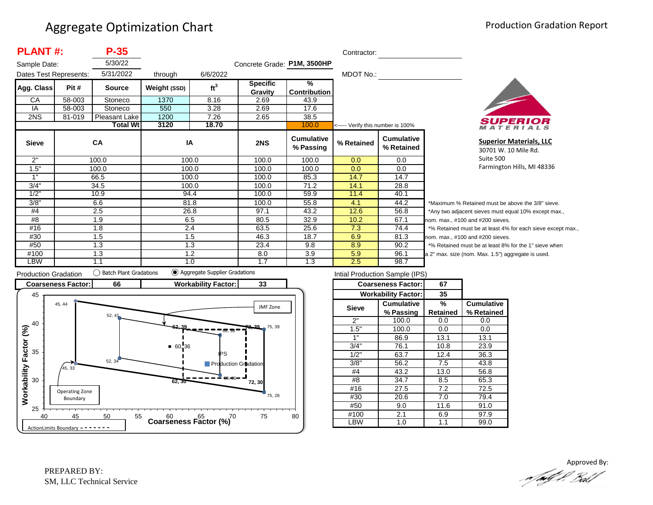| <b>PLANT#:</b><br>$P-35$<br>Contractor: |        |                 |              |                 |                             |                                      |                                   |                                 |          |
|-----------------------------------------|--------|-----------------|--------------|-----------------|-----------------------------|--------------------------------------|-----------------------------------|---------------------------------|----------|
| Sample Date:                            |        | 5/30/22         |              |                 | Concrete Grade: P1M, 3500HP |                                      |                                   |                                 |          |
| Dates Test Represents:                  |        | 5/31/2022       | through      | 6/6/2022        |                             |                                      | MDOT No.:                         |                                 |          |
| Agg. Class                              | Pit #  | <b>Source</b>   | Weight (SSD) | ft <sup>3</sup> | <b>Specific</b><br>Gravity  | $\frac{9}{6}$<br><b>Contribution</b> |                                   |                                 |          |
| CA                                      | 58-003 | Stoneco         | 1370         | 8.16            | 2.69                        | 43.9                                 |                                   |                                 |          |
| IA                                      | 58-003 | Stoneco         | 550          | 3.28            | 2.69                        | 17.6                                 |                                   |                                 |          |
| 2NS                                     | 81-019 | Pleasant Lake   | 1200         | 7.26            | 2.65                        | 38.5                                 |                                   |                                 |          |
|                                         |        | <b>Total Wt</b> | 3120         | 18.70           |                             | 100.0                                | <----- Verify this number is 100% |                                 |          |
| <b>Sieve</b>                            |        | <b>CA</b>       | IA           |                 | 2NS                         | <b>Cumulative</b><br>% Passing       | % Retained                        | <b>Cumulative</b><br>% Retained |          |
| 2"                                      |        | 100.0           | 100.0        |                 | 100.0                       | 100.0                                | 0.0                               | 0.0                             |          |
| 1.5"                                    |        | 100.0           | 100.0        |                 | 100.0                       | 100.0                                | 0.0                               | 0.0                             |          |
| 1"                                      |        | 66.5            | 100.0        |                 | 100.0                       | 85.3                                 | 14.7                              | 14.7                            |          |
| 3/4"                                    |        | 34.5            | 100.0        |                 | 100.0                       | 71.2                                 | 14.1                              | 28.8                            |          |
| 1/2"                                    |        | 10.9            | 94.4         |                 | 100.0                       | 59.9                                 | 11.4                              | 40.1                            |          |
| 3/8"                                    |        | 6.6             | 81.8         |                 | 100.0                       | 55.8                                 | 4.1                               | 44.2                            | $\star$  |
| #4                                      |        | 2.5             | 26.8         |                 | 97.1                        | 43.2                                 | 12.6                              | 56.8                            |          |
| #8                                      |        | 1.9             | 6.5          |                 | 80.5                        | 32.9                                 | 10.2                              | 67.1                            | no       |
| #16                                     |        | 1.8             | 2.4          |                 | 63.5                        | 25.6                                 | 7.3                               | 74.4                            | $^\star$ |
| #30                                     |        | 1.5             | 1.5          |                 | 46.3                        | 18.7                                 | 6.9                               | 81.3                            | no       |
| #50                                     |        | 1.3             |              | 1.3             | 23.4                        | 9.8                                  | 8.9                               | 90.2                            |          |
| #100                                    |        | 1.3             |              | 1.2             | 8.0                         | 3.9                                  | 5.9                               | 96.1                            | a :      |
| LBW                                     |        | 1.1             |              | 1.0             | 1.7                         | 1.3                                  | 2.5                               | 98.7                            |          |



**Superior Materials, LLC** 30701 W. 10 Mile Rd. Suite 500 Farmington Hills, MI 48336

Maximum % Retained must be above the 3/8" sieve. Any two adjacent sieves must equal 10% except max.,  $\mathsf{pm}$ . max., #100 and #200 sieves. % Retained must be at least 4% for each sieve except max.,  $om.$  max.,  $#100$  and  $#200$  sieves. % Retained must be at least 8% for the 1" sieve when 2" max. size (nom. Max. 1.5") aggregate is used.



| Intial Production Sample (IPS) |                            |          |                   |  |  |  |  |  |
|--------------------------------|----------------------------|----------|-------------------|--|--|--|--|--|
|                                | <b>Coarseness Factor:</b>  | 67       |                   |  |  |  |  |  |
|                                | <b>Workability Factor:</b> | 35       |                   |  |  |  |  |  |
| <b>Sieve</b>                   | <b>Cumulative</b>          | %        | <b>Cumulative</b> |  |  |  |  |  |
|                                | % Passing                  | Retained | % Retained        |  |  |  |  |  |
| 2"                             | 100.0                      | 0.0      | 0.0               |  |  |  |  |  |
| 1.5"                           | 100.0                      | 0.0      | 0.0               |  |  |  |  |  |
| 1"                             | 86.9                       | 13.1     | 13.1              |  |  |  |  |  |
| 3/4"                           | 76.1                       |          | 23.9              |  |  |  |  |  |
| 1/2"                           | 63.7                       | 12.4     | 36.3              |  |  |  |  |  |
| 3/8"                           | 56.2                       | 7.5      | 43.8              |  |  |  |  |  |
| #4                             | 43.2                       | 13.0     | 56.8              |  |  |  |  |  |
| #8                             | 34.7                       | 8.5      | 65.3              |  |  |  |  |  |
| #16                            | 27.5                       | 7.2      | 72.5              |  |  |  |  |  |
| #30                            | 20.6                       | 7.0      | 79.4              |  |  |  |  |  |
| #50                            | 9.0                        | 11.6     | 91.0              |  |  |  |  |  |
| #100                           | 2.1                        | 6.9      | 97.9              |  |  |  |  |  |
| -BW                            | 1.0                        | 1.1      | 99.0              |  |  |  |  |  |

Approved By:<br>Approved By: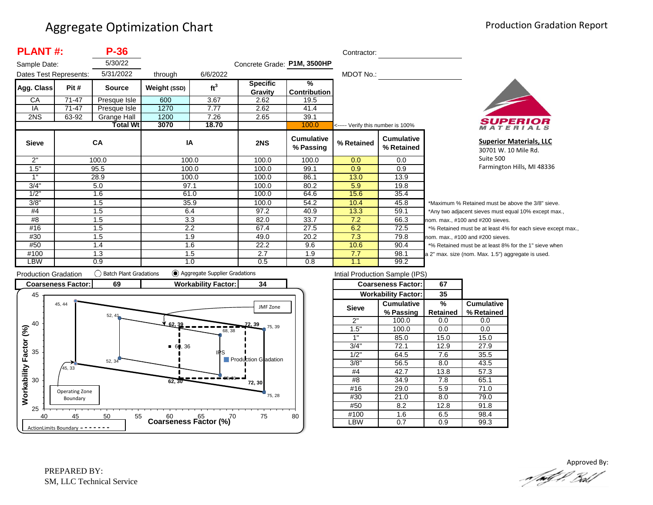| <b>PLANT#:</b>         |       | $P-36$        |              |                 |                             |                                      | Contractor:                       |                                 |          |
|------------------------|-------|---------------|--------------|-----------------|-----------------------------|--------------------------------------|-----------------------------------|---------------------------------|----------|
| Sample Date:           |       | 5/30/22       |              |                 | Concrete Grade: P1M, 3500HP |                                      |                                   |                                 |          |
| Dates Test Represents: |       | 5/31/2022     | through      | 6/6/2022        |                             |                                      | MDOT No.:                         |                                 |          |
| Agg. Class             | Pit # | <b>Source</b> | Weight (SSD) | ft <sup>3</sup> | <b>Specific</b><br>Gravity  | $\frac{9}{6}$<br><b>Contribution</b> |                                   |                                 |          |
| CA                     | 71-47 | Presque Isle  | 600          | 3.67            | 2.62                        | 19.5                                 |                                   |                                 |          |
| IA                     | 71-47 | Presque Isle  | 1270         | 7.77            | 2.62                        | 41.4                                 |                                   |                                 |          |
| 2NS                    | 63-92 | Grange Hall   | 1200<br>7.26 |                 | 2.65                        | 39.1                                 |                                   |                                 |          |
|                        |       | Total Wtl     | 3070         | 18.70           |                             | 100.0                                | <----- Verify this number is 100% |                                 |          |
| <b>Sieve</b>           |       | CA            | IA           |                 | 2NS                         | <b>Cumulative</b><br>% Passing       | % Retained                        | <b>Cumulative</b><br>% Retained |          |
| 2"                     |       | 100.0         |              | 100.0           | 100.0                       | 100.0                                | 0.0                               | 0.0                             |          |
| 1.5"                   | 95.5  |               |              | 100.0           | 100.0                       | 99.1                                 | 0.9                               | 0.9                             |          |
| 1"                     |       | 28.9          | 100.0        |                 | 100.0                       | 86.1                                 | 13.0                              | 13.9                            |          |
| 3/4"                   | 5.0   |               | 97.1         |                 | 100.0                       | 80.2                                 | 5.9                               | 19.8                            |          |
| 1/2"                   |       | 1.6           | 61.0         |                 | 100.0                       | 64.6                                 | 15.6                              | 35.4                            |          |
| 3/8"                   | 1.5   |               |              | 35.9            | 100.0                       | 54.2                                 | 10.4                              | 45.8                            | $^\star$ |
| #4                     | 1.5   |               | 6.4          |                 | 97.2                        | 40.9                                 | 13.3                              | 59.1                            |          |
| #8                     | 1.5   |               | 3.3          |                 | 82.0                        | 33.7                                 | 7.2                               | 66.3                            | no       |
| #16                    | 1.5   |               | 2.2          |                 | 67.4                        | 27.5                                 | 6.2                               | 72.5                            | $\star$  |
| #30                    |       | 1.5           | 1.9          |                 | 49.0                        | 20.2                                 | 7.3                               | 79.8                            | no       |
| #50                    |       | 1.4           | 1.6          |                 | 22.2                        | 9.6                                  | 10.6                              | 90.4                            |          |
| #100                   | 1.3   |               | 1.5          |                 | 2.7                         | 1.9                                  | 7.7                               | 98.1                            | a 2      |
| <b>LBW</b>             |       | 0.9           | 1.0          |                 | 0.5                         | 0.8                                  | 1.1                               | 99.2                            |          |



**Superior Materials, LLC** 30701 W. 10 Mile Rd. Suite 500 Farmington Hills, MI 48336

Maximum % Retained must be above the 3/8" sieve. Any two adjacent sieves must equal 10% except max.,  $em.$  max.,  $#100$  and  $#200$  sieves. % Retained must be at least 4% for each sieve except max.,  $km.$  max.,  $#100$  and  $#200$  sieves. % Retained must be at least 8% for the 1" sieve when 2" max. size (nom. Max. 1.5") aggregate is used.



|       | Intial Production Sample (IPS) |          |                   |  |
|-------|--------------------------------|----------|-------------------|--|
|       | <b>Coarseness Factor:</b>      | 67       |                   |  |
|       | <b>Workability Factor:</b>     | 35       |                   |  |
| Sieve | <b>Cumulative</b>              | %        | <b>Cumulative</b> |  |
|       | % Passing                      | Retained | % Retained        |  |
| 2"    | 100.0                          | 0.0      | 0.0               |  |
| 1.5"  | 100.0                          | 0.0      | 0.0               |  |
| 1"    | 85.0                           | 15.0     | 15.0              |  |
| 3/4"  | 72.1                           | 12.9     | 27.9              |  |
| 1/2"  | 64.5                           | 7.6      | 35.5              |  |
| 3/8"  | 56.5                           | 8.0      | 43.5              |  |
| #4    | 42.7                           | 13.8     | 57.3              |  |
| #8    | 34.9                           | 7.8      | 65.1              |  |
| #16   | 29.0                           | 5.9      | 71.0              |  |
| #30   | 21.0                           | 8.0      | 79.0              |  |
| #50   | 8.2                            | 12.8     | 91.8              |  |
| #100  | 1.6                            |          | 98.4              |  |
| -BW   | 0.7                            | 0.9      | 99.3              |  |

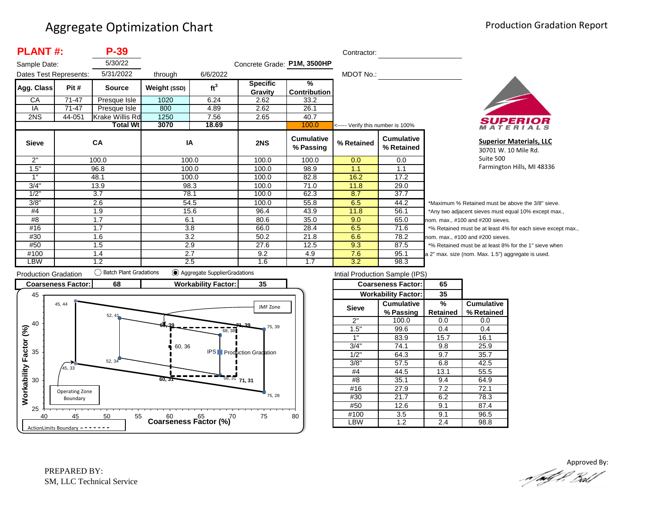| <b>PLANT#:</b>         |           | P-39            |              |                 |                             |                                | Contractor:                       |                                 |                  |
|------------------------|-----------|-----------------|--------------|-----------------|-----------------------------|--------------------------------|-----------------------------------|---------------------------------|------------------|
| Sample Date:           |           | 5/30/22         |              |                 | Concrete Grade: P1M, 3500HP |                                |                                   |                                 |                  |
| Dates Test Represents: |           | 5/31/2022       | through      | 6/6/2022        |                             |                                | MDOT No.:                         |                                 |                  |
| Agg. Class             | Pit #     | <b>Source</b>   | Weight (SSD) | ft <sup>3</sup> | <b>Specific</b><br>Gravity  | $\frac{9}{6}$<br>Contribution  |                                   |                                 |                  |
| CA                     | $71 - 47$ | Presque Isle    | 1020         | 6.24            | 2.62                        | 33.2                           |                                   |                                 |                  |
| IA                     | $71 - 47$ | Presque Isle    | 800          | 4.89            | 2.62                        | 26.1                           |                                   |                                 |                  |
| 2NS                    | 44-051    | Krake Willis Rd | 1250         | 7.56            | 2.65                        | 40.7                           |                                   |                                 |                  |
|                        |           | <b>Total Wt</b> | 3070         | 18.69           |                             | 100.0                          | <----- Verify this number is 100% |                                 |                  |
| <b>Sieve</b>           |           | CA              | IA           |                 | 2NS                         | <b>Cumulative</b><br>% Passing | % Retained                        | <b>Cumulative</b><br>% Retained |                  |
| 2"                     |           | 100.0           | 100.0        |                 | 100.0                       | 100.0                          | 0.0                               | 0.0                             |                  |
| 1.5"                   | 96.8      |                 | 100.0        |                 | 100.0                       | 98.9                           | 1.1                               | 1.1                             |                  |
| 1"                     |           | 48.1            | 100.0        |                 | 100.0                       | 82.8                           | 16.2                              | 17.2                            |                  |
| 3/4"                   |           | 13.9            | 98.3         |                 | 100.0                       | 71.0                           | 11.8                              | 29.0                            |                  |
| 1/2"                   |           | 3.7             | 78.1         |                 | 100.0                       | 62.3                           | 8.7                               | 37.7                            |                  |
| 3/8"                   |           | 2.6             | 54.5         |                 | 100.0                       | 55.8                           | 6.5                               | 44.2                            | $*_{\mathsf{M}}$ |
| #4                     | 1.9       |                 | 15.6         |                 | 96.4                        | 43.9                           | 11.8                              | 56.1                            | $^*A$            |
| #8                     | 1.7       |                 | 6.1          |                 | 80.6                        | 35.0                           | 9.0                               | 65.0                            | non              |
| #16                    | 1.7       |                 | 3.8          |                 | 66.0                        | 28.4                           | 6.5                               | 71.6                            | $*$ %            |
| #30                    |           | 1.6             | 3.2          |                 | 50.2                        | 21.8                           | 6.6                               | 78.2                            | non              |
| #50                    |           | 1.5             | 2.9          |                 | 27.6                        | 12.5                           | 9.3                               | 87.5                            | $*$ %            |
| #100                   |           | 2.7<br>1.4      |              |                 | 9.2                         | 4.9                            | 7.6                               | 95.1                            | a 2"             |
| LBW                    |           | 1.2             | 2.5          |                 | 1.6                         | 1.7                            | 3.2                               | 98.3                            |                  |



**Superior Materials, LLC** 30701 W. 10 Mile Rd. Suite 500 Farmington Hills, MI 48336

laximum % Retained must be above the 3/8" sieve. ny two adjacent sieves must equal 10% except max., 1. max., #100 and #200 sieves. Retained must be at least 4% for each sieve except max., 1. max., #100 and #200 sieves. Retained must be at least 8% for the 1" sieve when max. size (nom. Max. 1.5") aggregate is used.



| Intial Production Sample (IPS) |                            |          |                   |  |  |  |  |  |
|--------------------------------|----------------------------|----------|-------------------|--|--|--|--|--|
|                                | <b>Coarseness Factor:</b>  | 65       |                   |  |  |  |  |  |
|                                | <b>Workability Factor:</b> | 35       |                   |  |  |  |  |  |
| <b>Sieve</b>                   | <b>Cumulative</b>          | %        | <b>Cumulative</b> |  |  |  |  |  |
|                                | % Passing                  | Retained | % Retained        |  |  |  |  |  |
| 2"                             | 100.0                      | 0.0      | 0.0               |  |  |  |  |  |
| 1.5"                           | 99.6                       | 0.4      | 0.4               |  |  |  |  |  |
| 1"                             | 83.9                       | 15.7     | 16.1              |  |  |  |  |  |
| 3/4"                           | 74.1                       | 9.8      | 25.9              |  |  |  |  |  |
| 1/2"                           | 64.3                       | 9.7      | 35.7              |  |  |  |  |  |
| 3/8"                           | 57.5                       | 6.8      | 42.5              |  |  |  |  |  |
| #4                             | 44.5                       | 13.1     | 55.5              |  |  |  |  |  |
| #8                             | 35.1                       | 9.4      | 64.9              |  |  |  |  |  |
| #16                            | 27.9                       | 7.2      | 72.1              |  |  |  |  |  |
| #30                            | 21.7                       |          | 78.3              |  |  |  |  |  |
| #50                            | 12.6                       |          | 87.4              |  |  |  |  |  |
| #100                           | 3.5                        |          | 96.5              |  |  |  |  |  |
| LBW                            | 1.2                        | 2.4      | 98.8              |  |  |  |  |  |
|                                |                            |          |                   |  |  |  |  |  |

Approved By:<br>Approved By: